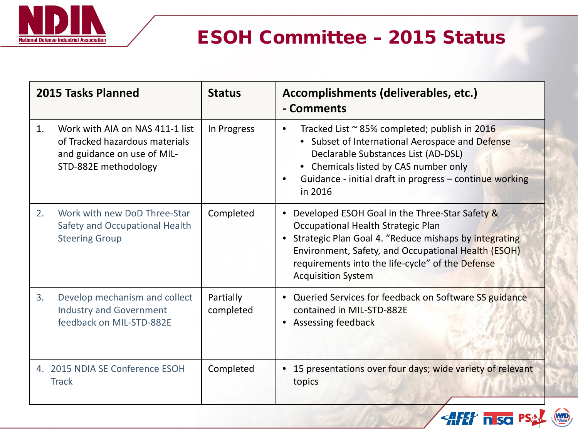

## ESOH Committee – 2015 Status

| 2015 Tasks Planned |                                                                                                                          | <b>Status</b>          | Accomplishments (deliverables, etc.)<br>- Comments                                                                                                                                                                                                                                                   |
|--------------------|--------------------------------------------------------------------------------------------------------------------------|------------------------|------------------------------------------------------------------------------------------------------------------------------------------------------------------------------------------------------------------------------------------------------------------------------------------------------|
| 1.                 | Work with AIA on NAS 411-1 list<br>of Tracked hazardous materials<br>and guidance on use of MIL-<br>STD-882E methodology | In Progress            | Tracked List ~ 85% completed; publish in 2016<br>$\bullet$<br>• Subset of International Aerospace and Defense<br>Declarable Substances List (AD-DSL)<br>• Chemicals listed by CAS number only<br>Guidance - initial draft in progress - continue working<br>in 2016                                  |
| 2.                 | Work with new DoD Three-Star<br>Safety and Occupational Health<br><b>Steering Group</b>                                  | Completed              | Developed ESOH Goal in the Three-Star Safety &<br>$\bullet$<br>Occupational Health Strategic Plan<br>• Strategic Plan Goal 4. "Reduce mishaps by integrating<br>Environment, Safety, and Occupational Health (ESOH)<br>requirements into the life-cycle" of the Defense<br><b>Acquisition System</b> |
| 3.                 | Develop mechanism and collect<br><b>Industry and Government</b><br>feedback on MIL-STD-882E                              | Partially<br>completed | • Queried Services for feedback on Software SS guidance<br>contained in MIL-STD-882E<br>• Assessing feedback                                                                                                                                                                                         |
|                    | 4. 2015 NDIA SE Conference ESOH<br><b>Track</b>                                                                          | Completed              | • 15 presentations over four days; wide variety of relevant<br>topics                                                                                                                                                                                                                                |
|                    |                                                                                                                          |                        | <b>AFET nisc</b>                                                                                                                                                                                                                                                                                     |